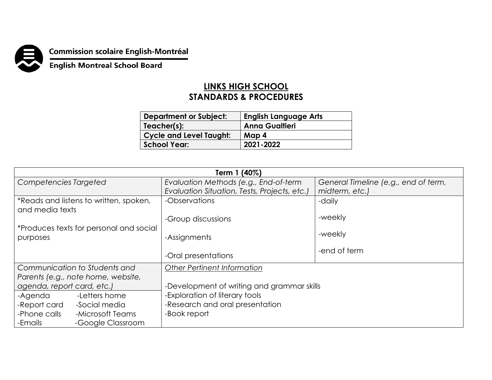

## **Commission scolaire English-Montréal<br>English Montreal School Board**

## **LINKS HIGH SCHOOL STANDARDS & PROCEDURES**

| <b>Department or Subject:</b>  | <b>English Language Arts</b> |
|--------------------------------|------------------------------|
| Teacher(s):                    | <b>Anna Gualtieri</b>        |
| <b>Cycle and Level Taught:</b> | Map 4                        |
| <b>School Year:</b>            | 2021-2022                    |

| Term 1 (40%)                                              |                                              |                                      |  |
|-----------------------------------------------------------|----------------------------------------------|--------------------------------------|--|
| Competencies Targeted                                     | Evaluation Methods (e.g., End-of-term        | General Timeline (e.g., end of term, |  |
|                                                           | Evaluation Situation, Tests, Projects, etc.) | midterm, etc.)                       |  |
| *Reads and listens to written, spoken,<br>and media texts | -Observations                                | -daily                               |  |
|                                                           | -Group discussions                           | -weekly                              |  |
| *Produces texts for personal and social<br>purposes       | -Assignments                                 | -weekly                              |  |
|                                                           | -Oral presentations                          | -end of term                         |  |
| Communication to Students and                             | <b>Other Pertinent Information</b>           |                                      |  |
| Parents (e.g., note home, website,                        |                                              |                                      |  |
| agenda, report card, etc.)                                | -Development of writing and grammar skills   |                                      |  |
| -Letters home<br>-Agenda                                  | -Exploration of literary tools               |                                      |  |
| -Report card<br>-Social media                             | -Research and oral presentation              |                                      |  |
| -Phone calls<br>-Microsoft Teams                          | -Book report                                 |                                      |  |
| -Google Classroom<br>-Emails                              |                                              |                                      |  |